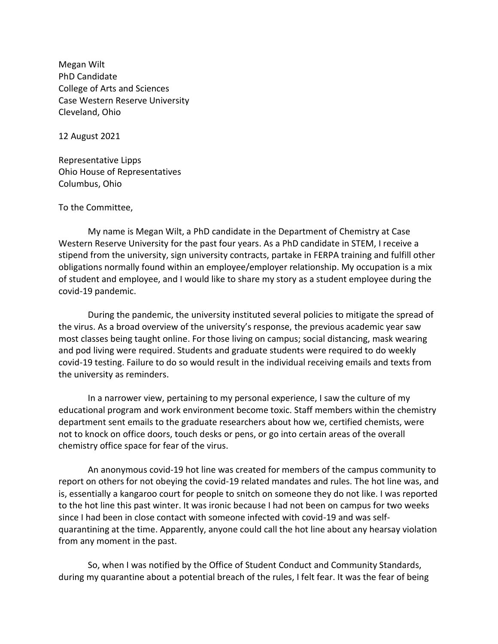Megan Wilt PhD Candidate College of Arts and Sciences Case Western Reserve University Cleveland, Ohio

12 August 2021

Representative Lipps Ohio House of Representatives Columbus, Ohio

## To the Committee,

My name is Megan Wilt, a PhD candidate in the Department of Chemistry at Case Western Reserve University for the past four years. As a PhD candidate in STEM, I receive a stipend from the university, sign university contracts, partake in FERPA training and fulfill other obligations normally found within an employee/employer relationship. My occupation is a mix of student and employee, and I would like to share my story as a student employee during the covid-19 pandemic.

During the pandemic, the university instituted several policies to mitigate the spread of the virus. As a broad overview of the university's response, the previous academic year saw most classes being taught online. For those living on campus; social distancing, mask wearing and pod living were required. Students and graduate students were required to do weekly covid-19 testing. Failure to do so would result in the individual receiving emails and texts from the university as reminders.

In a narrower view, pertaining to my personal experience, I saw the culture of my educational program and work environment become toxic. Staff members within the chemistry department sent emails to the graduate researchers about how we, certified chemists, were not to knock on office doors, touch desks or pens, or go into certain areas of the overall chemistry office space for fear of the virus.

An anonymous covid-19 hot line was created for members of the campus community to report on others for not obeying the covid-19 related mandates and rules. The hot line was, and is, essentially a kangaroo court for people to snitch on someone they do not like. I was reported to the hot line this past winter. It was ironic because I had not been on campus for two weeks since I had been in close contact with someone infected with covid-19 and was selfquarantining at the time. Apparently, anyone could call the hot line about any hearsay violation from any moment in the past.

So, when I was notified by the Office of Student Conduct and Community Standards, during my quarantine about a potential breach of the rules, I felt fear. It was the fear of being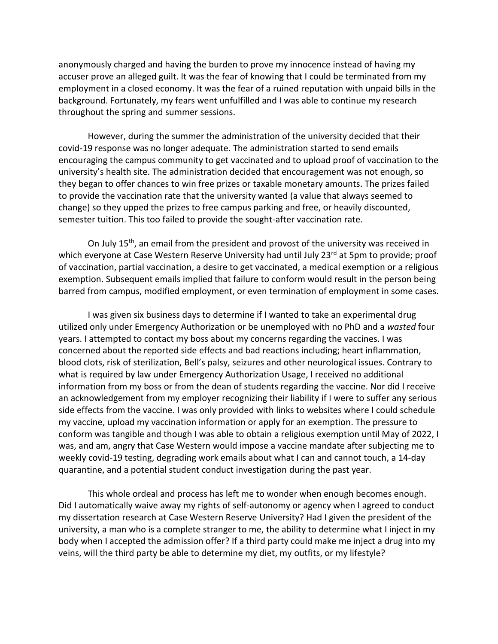anonymously charged and having the burden to prove my innocence instead of having my accuser prove an alleged guilt. It was the fear of knowing that I could be terminated from my employment in a closed economy. It was the fear of a ruined reputation with unpaid bills in the background. Fortunately, my fears went unfulfilled and I was able to continue my research throughout the spring and summer sessions.

However, during the summer the administration of the university decided that their covid-19 response was no longer adequate. The administration started to send emails encouraging the campus community to get vaccinated and to upload proof of vaccination to the university's health site. The administration decided that encouragement was not enough, so they began to offer chances to win free prizes or taxable monetary amounts. The prizes failed to provide the vaccination rate that the university wanted (a value that always seemed to change) so they upped the prizes to free campus parking and free, or heavily discounted, semester tuition. This too failed to provide the sought-after vaccination rate.

On July 15<sup>th</sup>, an email from the president and provost of the university was received in which everyone at Case Western Reserve University had until July 23rd at 5pm to provide; proof of vaccination, partial vaccination, a desire to get vaccinated, a medical exemption or a religious exemption. Subsequent emails implied that failure to conform would result in the person being barred from campus, modified employment, or even termination of employment in some cases.

I was given six business days to determine if I wanted to take an experimental drug utilized only under Emergency Authorization or be unemployed with no PhD and a *wasted* four years. I attempted to contact my boss about my concerns regarding the vaccines. I was concerned about the reported side effects and bad reactions including; heart inflammation, blood clots, risk of sterilization, Bell's palsy, seizures and other neurological issues. Contrary to what is required by law under Emergency Authorization Usage, I received no additional information from my boss or from the dean of students regarding the vaccine. Nor did I receive an acknowledgement from my employer recognizing their liability if I were to suffer any serious side effects from the vaccine. I was only provided with links to websites where I could schedule my vaccine, upload my vaccination information or apply for an exemption. The pressure to conform was tangible and though I was able to obtain a religious exemption until May of 2022, I was, and am, angry that Case Western would impose a vaccine mandate after subjecting me to weekly covid-19 testing, degrading work emails about what I can and cannot touch, a 14-day quarantine, and a potential student conduct investigation during the past year.

This whole ordeal and process has left me to wonder when enough becomes enough. Did I automatically waive away my rights of self-autonomy or agency when I agreed to conduct my dissertation research at Case Western Reserve University? Had I given the president of the university, a man who is a complete stranger to me, the ability to determine what I inject in my body when I accepted the admission offer? If a third party could make me inject a drug into my veins, will the third party be able to determine my diet, my outfits, or my lifestyle?